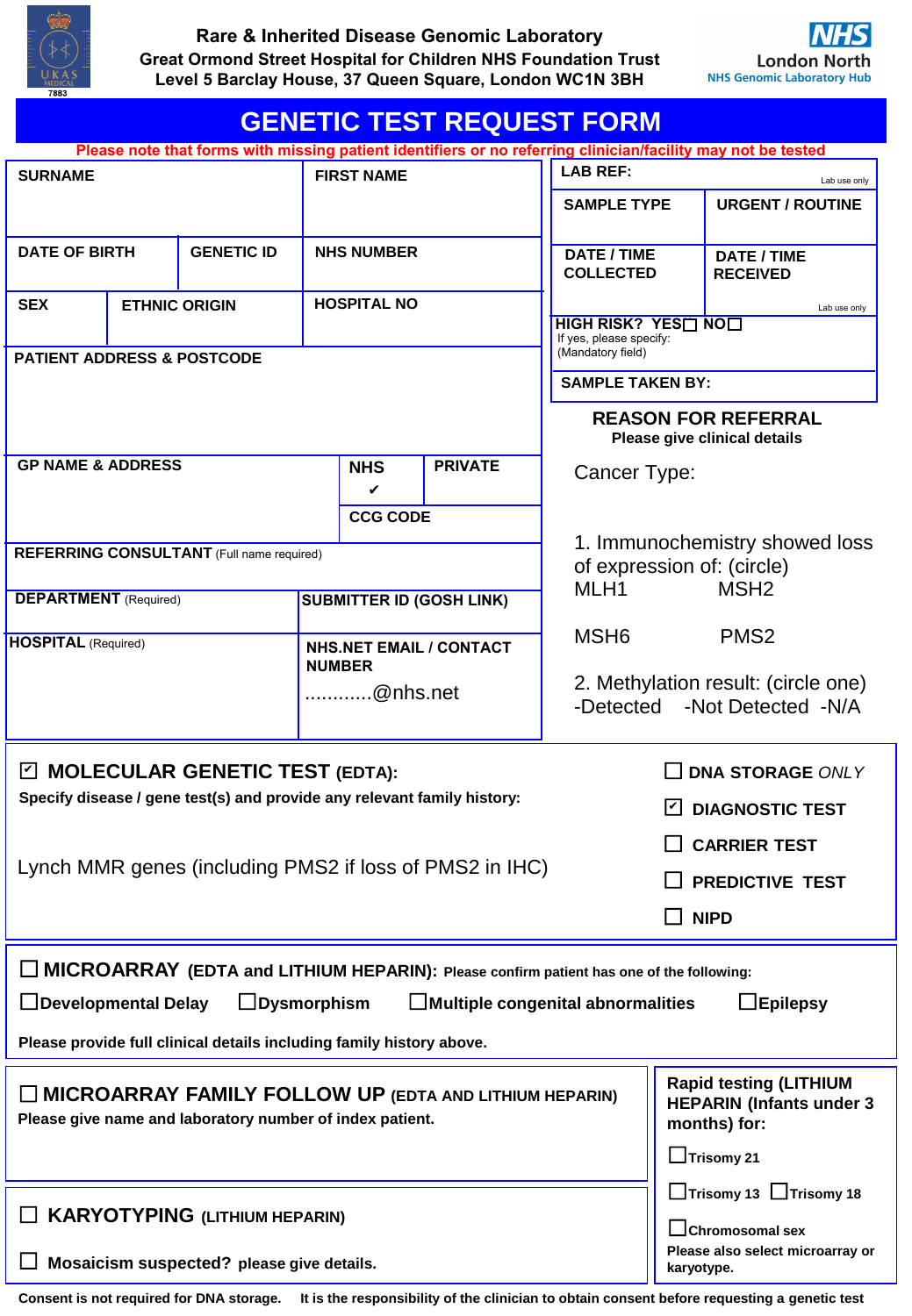

| <b>GENETIC TEST REQUEST FORM</b>                                                                                    |                                                                                                                           |                                                                                  |                                                 |                                 |                                                                          |                                                                     |                  |                                       |  |
|---------------------------------------------------------------------------------------------------------------------|---------------------------------------------------------------------------------------------------------------------------|----------------------------------------------------------------------------------|-------------------------------------------------|---------------------------------|--------------------------------------------------------------------------|---------------------------------------------------------------------|------------------|---------------------------------------|--|
| Please note that forms with missing patient identifiers or no referring clinician/facility may not be tested        |                                                                                                                           |                                                                                  |                                                 |                                 |                                                                          |                                                                     |                  |                                       |  |
| <b>SURNAME</b>                                                                                                      |                                                                                                                           |                                                                                  | <b>FIRST NAME</b>                               |                                 |                                                                          | <b>LAB REF:</b><br>Lab use only                                     |                  |                                       |  |
|                                                                                                                     |                                                                                                                           |                                                                                  |                                                 |                                 |                                                                          | <b>SAMPLE TYPE</b>                                                  |                  | <b>URGENT / ROUTINE</b>               |  |
| <b>DATE OF BIRTH</b><br><b>GENETIC ID</b>                                                                           |                                                                                                                           |                                                                                  | <b>NHS NUMBER</b>                               |                                 |                                                                          | <b>DATE / TIME</b><br><b>COLLECTED</b>                              |                  | <b>DATE / TIME</b><br><b>RECEIVED</b> |  |
| <b>SEX</b><br><b>ETHNIC ORIGIN</b>                                                                                  |                                                                                                                           |                                                                                  |                                                 | <b>HOSPITAL NO</b>              | Lab use only<br>HIGH RISK? YES <sub>IN0</sub><br>If yes, please specify: |                                                                     |                  |                                       |  |
| <b>PATIENT ADDRESS &amp; POSTCODE</b>                                                                               |                                                                                                                           |                                                                                  |                                                 |                                 |                                                                          | (Mandatory field)<br><b>SAMPLE TAKEN BY:</b>                        |                  |                                       |  |
|                                                                                                                     |                                                                                                                           |                                                                                  |                                                 |                                 |                                                                          | <b>REASON FOR REFERRAL</b>                                          |                  |                                       |  |
|                                                                                                                     |                                                                                                                           |                                                                                  |                                                 |                                 |                                                                          | Please give clinical details                                        |                  |                                       |  |
| <b>GP NAME &amp; ADDRESS</b>                                                                                        |                                                                                                                           |                                                                                  | <b>NHS</b><br>V                                 |                                 | <b>PRIVATE</b>                                                           | Cancer Type:                                                        |                  |                                       |  |
|                                                                                                                     |                                                                                                                           |                                                                                  |                                                 | <b>CCG CODE</b>                 |                                                                          |                                                                     |                  |                                       |  |
| <b>REFERRING CONSULTANT</b> (Full name required)                                                                    |                                                                                                                           |                                                                                  |                                                 |                                 |                                                                          | 1. Immunochemistry showed loss<br>of expression of: (circle)        |                  |                                       |  |
| <b>DEPARTMENT</b> (Required)                                                                                        |                                                                                                                           |                                                                                  |                                                 | <b>SUBMITTER ID (GOSH LINK)</b> | MLH <sub>1</sub><br>MSH <sub>2</sub>                                     |                                                                     |                  |                                       |  |
| <b>HOSPITAL (Required)</b>                                                                                          |                                                                                                                           |                                                                                  |                                                 |                                 | MSH <sub>6</sub>                                                         |                                                                     | PMS <sub>2</sub> |                                       |  |
|                                                                                                                     |                                                                                                                           |                                                                                  | <b>NHS.NET EMAIL / CONTACT</b><br><b>NUMBER</b> |                                 |                                                                          | 2. Methylation result: (circle one)<br>-Detected -Not Detected -N/A |                  |                                       |  |
|                                                                                                                     |                                                                                                                           |                                                                                  |                                                 | @nhs.net                        |                                                                          |                                                                     |                  |                                       |  |
| $\boxdot$ MOLECULAR GENETIC TEST (EDTA):<br>Specify disease / gene test(s) and provide any relevant family history: |                                                                                                                           |                                                                                  |                                                 |                                 |                                                                          | <b>DNA STORAGE ONLY</b>                                             |                  |                                       |  |
|                                                                                                                     |                                                                                                                           |                                                                                  |                                                 |                                 |                                                                          | <b>DIAGNOSTIC TEST</b>                                              |                  |                                       |  |
| Lynch MMR genes (including PMS2 if loss of PMS2 in IHC)                                                             |                                                                                                                           |                                                                                  |                                                 |                                 |                                                                          | <b>CARRIER TEST</b>                                                 |                  |                                       |  |
|                                                                                                                     |                                                                                                                           |                                                                                  |                                                 |                                 |                                                                          | <b>PREDICTIVE TEST</b>                                              |                  |                                       |  |
|                                                                                                                     |                                                                                                                           |                                                                                  |                                                 |                                 |                                                                          | <b>NIPD</b>                                                         |                  |                                       |  |
| $\Box$ MICROARRAY (EDTA and LITHIUM HEPARIN): Please confirm patient has one of the following:                      |                                                                                                                           |                                                                                  |                                                 |                                 |                                                                          |                                                                     |                  |                                       |  |
| $\Box$ Developmental Delay<br>$\Box$ Dysmorphism<br>$\Box$ Epilepsy<br>$\Box$ Multiple congenital abnormalities     |                                                                                                                           |                                                                                  |                                                 |                                 |                                                                          |                                                                     |                  |                                       |  |
| Please provide full clinical details including family history above.                                                |                                                                                                                           |                                                                                  |                                                 |                                 |                                                                          |                                                                     |                  |                                       |  |
|                                                                                                                     | <b>MICROARRAY FAMILY FOLLOW UP (EDTA AND LITHIUM HEPARIN)</b><br>Please give name and laboratory number of index patient. | <b>Rapid testing (LITHIUM</b><br><b>HEPARIN (Infants under 3</b><br>months) for: |                                                 |                                 |                                                                          |                                                                     |                  |                                       |  |
|                                                                                                                     |                                                                                                                           |                                                                                  |                                                 |                                 |                                                                          |                                                                     |                  | $\Box$ Trisomy 21                     |  |
| $\Box$ KARYOTYPING (LITHIUM HEPARIN)                                                                                |                                                                                                                           |                                                                                  |                                                 |                                 |                                                                          | □Trisomy 13 □Trisomy 18<br>$\Box$ Chromosomal sex                   |                  |                                       |  |
| Mosaicism suspected? please give details.                                                                           |                                                                                                                           |                                                                                  |                                                 |                                 |                                                                          |                                                                     | karyotype.       | Please also select microarray or      |  |

**Consent is not required for DNA storage. It is the responsibility of the clinician to obtain consent before requesting a genetic test**